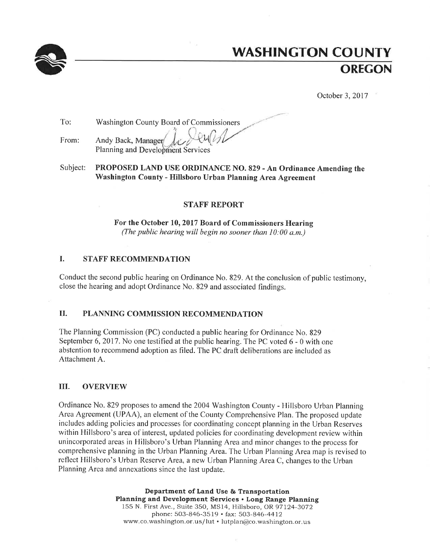

# **WASHINGTON COUNTY OREGON**

October 3, 2017

| To:   | Washington County Board of Commissioners                          |
|-------|-------------------------------------------------------------------|
| From: | Andy Back, Manager Jr. Liver<br>Planning and Development Services |

PROPOSED LAND USE ORDINANCE NO. 829 - An Ordinance Amending the Subject: Washington County - Hillsboro Urban Planning Area Agreement

### **STAFF REPORT**

For the October 10, 2017 Board of Commissioners Hearing (The public hearing will begin no sooner than  $10:00$  a.m.)

#### I. STAFF RECOMMENDATION

Conduct the second public hearing on Ordinance No. 829. At the conclusion of public testimony, close the hearing and adopt Ordinance No. 829 and associated findings.

#### II. PLANNING COMMISSION RECOMMENDATION

The Planning Commission (PC) conducted a public hearing for Ordinance No. 829 September 6, 2017. No one testified at the public hearing. The PC voted 6 - 0 with one abstention to recommend adoption as filed. The PC draft deliberations are included as Attachment A.

#### III. **OVERVIEW**

Ordinance No. 829 proposes to amend the 2004 Washington County - Hillsboro Urban Planning Area Agreement (UPAA), an element of the County Comprehensive Plan. The proposed update includes adding policies and processes for coordinating concept planning in the Urban Reserves within Hillsboro's area of interest, updated policies for coordinating development review within unincorporated areas in Hillsboro's Urban Planning Area and minor changes to the process for comprehensive planning in the Urban Planning Area. The Urban Planning Area map is revised to reflect Hillsboro's Urban Reserve Area, a new Urban Planning Area C, changes to the Urban Planning Area and annexations since the last update.

> Department of Land Use & Transportation Planning and Development Services . Long Range Planning 155 N. First Ave., Suite 350, MS14, Hillsboro, OR 97124-3072 phone: 503-846-3519 • fax: 503-846-4412 www.co.washington.or.us/lut · lutplan@co.washington.or.us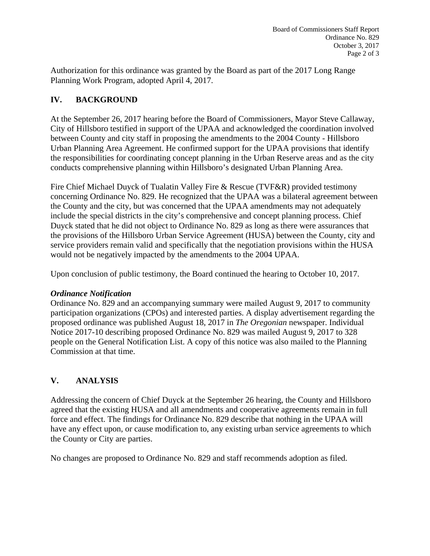Authorization for this ordinance was granted by the Board as part of the 2017 Long Range Planning Work Program, adopted April 4, 2017.

## **IV. BACKGROUND**

At the September 26, 2017 hearing before the Board of Commissioners, Mayor Steve Callaway, City of Hillsboro testified in support of the UPAA and acknowledged the coordination involved between County and city staff in proposing the amendments to the 2004 County - Hillsboro Urban Planning Area Agreement. He confirmed support for the UPAA provisions that identify the responsibilities for coordinating concept planning in the Urban Reserve areas and as the city conducts comprehensive planning within Hillsboro's designated Urban Planning Area.

Fire Chief Michael Duyck of Tualatin Valley Fire & Rescue (TVF&R) provided testimony concerning Ordinance No. 829. He recognized that the UPAA was a bilateral agreement between the County and the city, but was concerned that the UPAA amendments may not adequately include the special districts in the city's comprehensive and concept planning process. Chief Duyck stated that he did not object to Ordinance No. 829 as long as there were assurances that the provisions of the Hillsboro Urban Service Agreement (HUSA) between the County, city and service providers remain valid and specifically that the negotiation provisions within the HUSA would not be negatively impacted by the amendments to the 2004 UPAA.

Upon conclusion of public testimony, the Board continued the hearing to October 10, 2017.

### *Ordinance Notification*

Ordinance No. 829 and an accompanying summary were mailed August 9, 2017 to community participation organizations (CPOs) and interested parties. A display advertisement regarding the proposed ordinance was published August 18, 2017 in *The Oregonian* newspaper. Individual Notice 2017-10 describing proposed Ordinance No. 829 was mailed August 9, 2017 to 328 people on the General Notification List. A copy of this notice was also mailed to the Planning Commission at that time.

# **V. ANALYSIS**

Addressing the concern of Chief Duyck at the September 26 hearing, the County and Hillsboro agreed that the existing HUSA and all amendments and cooperative agreements remain in full force and effect. The findings for Ordinance No. 829 describe that nothing in the UPAA will have any effect upon, or cause modification to, any existing urban service agreements to which the County or City are parties.

No changes are proposed to Ordinance No. 829 and staff recommends adoption as filed.